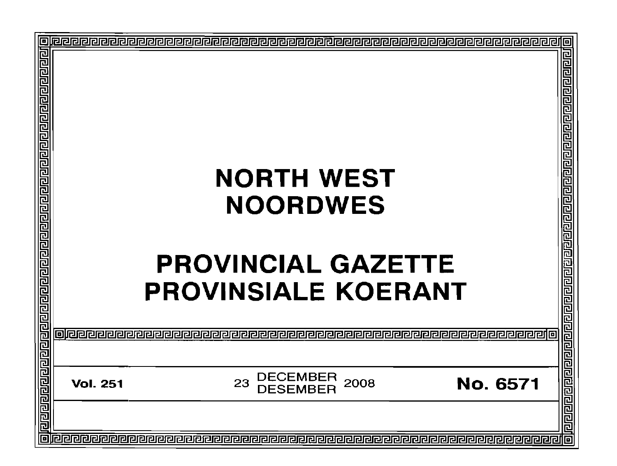| <u>त्वाग्राग्राग्राग्राग्राग्राग्राग्राग्राण्डाग्राण्डा</u> |                 |                                                                   | <u>ग्गगगगगगगगगगगगगगगगगगगगगग</u>         |
|-------------------------------------------------------------|-----------------|-------------------------------------------------------------------|-----------------------------------------|
|                                                             |                 | <b>NORTH WEST</b><br><b>NOORDWES</b><br><b>PROVINCIAL GAZETTE</b> |                                         |
| <u>प्रागगवाचे नागणगगवाचा जनगणन</u>                          |                 | <b>PROVINSIALE KOERANT</b>                                        | <u> ग्रागवाचा नवानवाचा वायण्याचा वा</u> |
|                                                             | <b>Vol. 251</b> | <b>DECEMBER</b><br>DESEMBER<br>23<br>2008                         | <b>No. 6571</b>                         |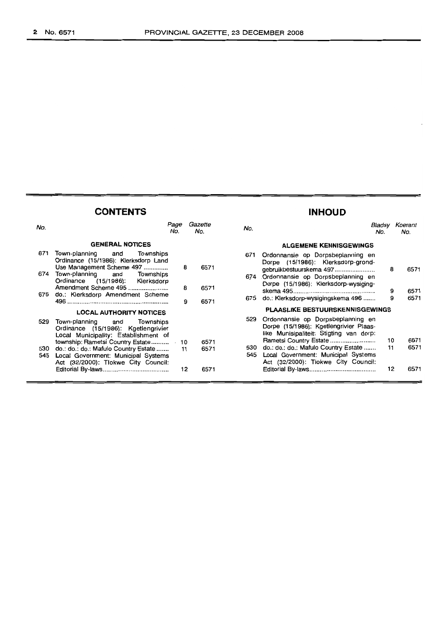### **CONTENTS INHOUD**

| No.        |                                                                                                                    | Page<br>No. | Gazette<br>No. | No.        |                                                                                                                                              | Bladsv<br>No. | Koerant<br>No. |
|------------|--------------------------------------------------------------------------------------------------------------------|-------------|----------------|------------|----------------------------------------------------------------------------------------------------------------------------------------------|---------------|----------------|
|            | <b>GENERAL NOTICES</b>                                                                                             |             |                |            | <b>ALGEMENE KENNISGEWINGS</b>                                                                                                                |               |                |
| 671        | Town-planning<br>and<br>Townships<br>Ordinance (15/1986): Klerksdorp Land<br>Use Management Scheme 497             | 8           | 6571           | 671        | Ordonnansie op Dorpsbeplanning en<br>Dorpe (15/1986): Klerksdorp-grond-<br>gebruikbestuurskema 497                                           | 8             | 6571           |
| 674        | Town-planning and<br>Townships<br>Ordinance (15/1986): Klerksdorp<br>Amendment Scheme 495                          | 8           | 6571           | 674        | Ordonnansie op Dorpsbeplanning en<br>Dorpe (15/1986): Klerksdorp-wysiging-                                                                   | 9             | 6571           |
| 675        | do.: Klerksdorp Amendment Scheme                                                                                   |             | 9<br>6571      | 675        | do.: Klerksdorp-wysigingskema 496                                                                                                            | 9             | 6571           |
|            | <b>LOCAL AUTHORITY NOTICES</b>                                                                                     |             |                |            | <b>PLAASLIKE BESTUURSKENNISGEWINGS</b>                                                                                                       |               |                |
| 529        | Town-planning and<br>Townships<br>Ordinance (15/1986): Kgetlengrivier<br>Local Municipality: Establishment of      |             |                | 529        | Ordonnansie op Dorpsbeplanning en<br>Dorpe (15/1986): Kgetlengrivier Plaas-<br>like Munisipaliteit: Stigting van dorp:                       | 10            | 6571           |
| 530<br>545 | do.: do.: do.: Mafulo Country Estate<br>Local Government: Municipal Systems<br>Act (32/2000): Tlokwe City Council: | 11          | 6571<br>6571   | 530<br>545 | Rametsi Country Estate<br>do.: do.: do.: Mafulo Country Estate<br>Local Government: Municipal Systems<br>Act (32/2000): Tiokwe City Council: | 11            | 6571           |
|            |                                                                                                                    | 12          | 6571           |            |                                                                                                                                              | 12            | 6571           |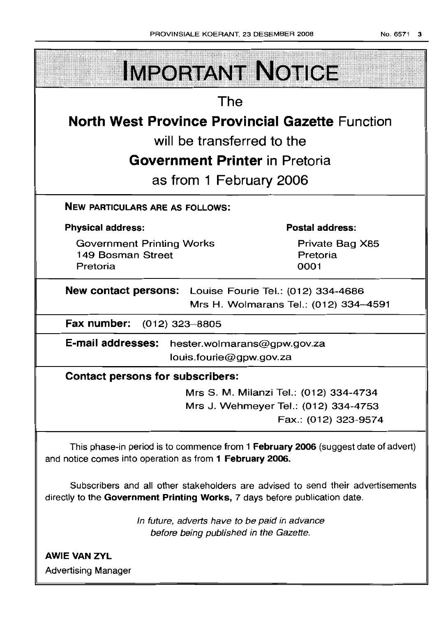| <b>IMPORTANT NOTICE</b>                                                                                                                                       |                                        |  |  |  |
|---------------------------------------------------------------------------------------------------------------------------------------------------------------|----------------------------------------|--|--|--|
| The                                                                                                                                                           |                                        |  |  |  |
| <b>North West Province Provincial Gazette Function</b>                                                                                                        |                                        |  |  |  |
| will be transferred to the                                                                                                                                    |                                        |  |  |  |
| <b>Government Printer in Pretoria</b>                                                                                                                         |                                        |  |  |  |
| as from 1 February 2006                                                                                                                                       |                                        |  |  |  |
| <b>NEW PARTICULARS ARE AS FOLLOWS:</b>                                                                                                                        |                                        |  |  |  |
| <b>Physical address:</b>                                                                                                                                      | Postal address:                        |  |  |  |
| <b>Government Printing Works</b><br>149 Bosman Street<br>Pretoria                                                                                             | Private Bag X85<br>Pretoria<br>0001    |  |  |  |
| New contact persons: Louise Fourie Tel.: (012) 334-4686<br>Mrs H. Wolmarans Tel.: (012) 334-4591                                                              |                                        |  |  |  |
| Fax number: (012) 323-8805                                                                                                                                    |                                        |  |  |  |
| <b>E-mail addresses:</b><br>hester.wolmarans@gpw.gov.za<br>louis.fourie@gpw.gov.za                                                                            |                                        |  |  |  |
| <b>Contact persons for subscribers:</b>                                                                                                                       |                                        |  |  |  |
|                                                                                                                                                               | Mrs S. M. Milanzi Tel.: (012) 334-4734 |  |  |  |
|                                                                                                                                                               | Mrs J. Wehmeyer Tel.: (012) 334-4753   |  |  |  |
|                                                                                                                                                               | Fax.: (012) 323-9574                   |  |  |  |
| This phase-in period is to commence from 1 February 2006 (suggest date of advert)<br>and notice comes into operation as from 1 February 2006.                 |                                        |  |  |  |
| Subscribers and all other stakeholders are advised to send their advertisements<br>directly to the Government Printing Works, 7 days before publication date. |                                        |  |  |  |
| In future, adverts have to be paid in advance<br>before being published in the Gazette.                                                                       |                                        |  |  |  |
| <b>AWIE VAN ZYL</b>                                                                                                                                           |                                        |  |  |  |
| <b>Advertising Manager</b>                                                                                                                                    |                                        |  |  |  |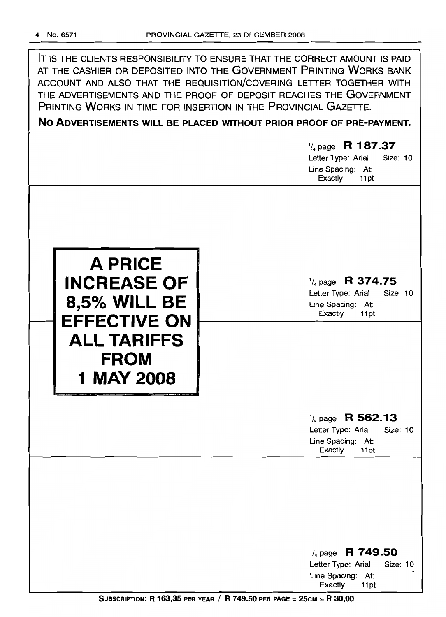IT IS THE CLIENTS RESPONSIBILITY TO ENSURE THAT THE CORRECT AMOUNT IS PAID AT THE CASHIER OR DEPOSITED INTO THE GOVERNMENT PRINTING WORKS BANK ACCOUNT AND ALSO THAT THE REQUISITION/COVERING LETTER TOGETHER WITH THE ADVERTISEMENTS AND THE PROOF OF DEPOSIT REACHES THE GOVERNMENT PRINTING WORKS IN TIME FOR INSERTION IN THE PROVINCIAL GAZETTE.

### **No ADVERTISEMENTS WILL BE PLACED WITHOUT PRIOR PROOF OF PRE-PAYMENT.**

### 1/4page **R 187.37** Letter Type: Arial Size: 10

Line Spacing: At: Exactly 11 pt



### 1/4 page **R 374.75**

Letter Type: Arial Size: 10 Line Spacing: At: Exactly 11 pt

### 1/4 page **R 562.13**

Letter Type: Arial Size: 10 Line Spacing: At: Exactly 11pt

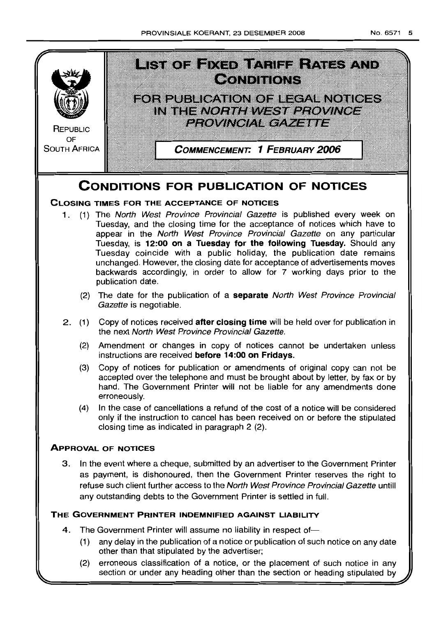

- 1. (1) The North West Province Provincial Gazette is published every week on Tuesday, and the closing time for the acceptance of notices which have to appear in the North West Province Provincial Gazette on any particular Tuesday, is **12:00 on a Tuesday for the following Tuesday.** Should any Tuesday coincide with a public holiday, the publication date remains unchanged. However, the closing date for acceptance of advertisements moves backwards accordingly, in order to allow for 7 working days prior to the publication date.
	- (2) The date for the publication of a **separate** North West Province Provincial Gazette is negotiable.
- 2. (1) Copy of notices received **after closing time** will be held over for publication in the next North West Province Provincial Gazette.
	- (2) Amendment or changes in copy of notices cannot be undertaken unless instructions are received **before 14:00 on Fridays.**
	- (3) Copy of notices for publication or amendments of original copy can not be accepted over the telephone and must be brought about by letter, by fax or by hand. The Government Printer will not be liable for any amendments done erroneously.
	- (4) In the case of cancellations a refund of the cost of a notice will be considered only if the instruction to cancel has been received on or before the stipulated closing time as indicated in paragraph 2 (2).

### **ApPROVAL OF NOTICES**

3. In the event where a cheque, submitted by an advertiser to the Government Printer as payment, is dishonoured, then the Government Printer reserves the right to refuse such client further access to the North West Province Provincial Gazette untill any outstanding debts to the Government Printer is settled in full.

### **THE GOVERNMENT PRINTER INDEMNIFIED AGAINST LIABILITY**

- 4. The Government Printer will assume no liability in respect of-
	- (1) any delay in the publication of a notice or publication of such notice on any date other than that stipulated by the advertiser;
	- (2) erroneous classification of a notice, or the placement of such notice in any section or under any heading other than the section or heading stipulated by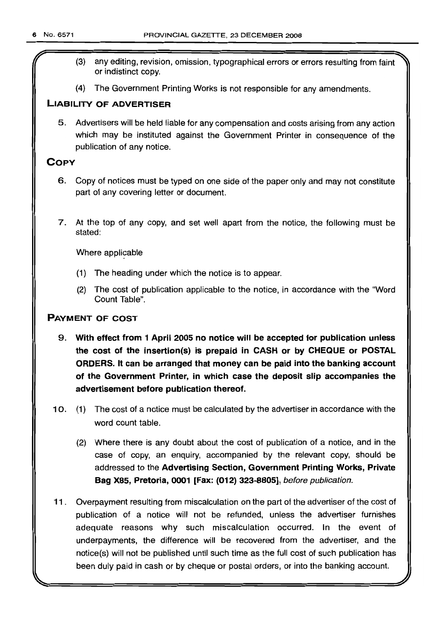- (3) any editing, revision, omission, typographical errors or errors resulting from faint or indistinct copy.
- (4) The Government Printing Works is not responsible for any amendments.

### **LIABILITY OF ADVERTISER**

5. Advertisers will be held liable for any compensation and costs arising from any action which may be instituted against the Government Printer in consequence of the publication of any notice.

### **COpy**

- 6. Copy of notices must be typed on one side of the paper only and may not constitute part of any covering letter or document.
- 7. At the top of any copy, and set well apart from the notice, the following must be stated:

Where applicable

- (1) The heading under which the notice is to appear.
- (2) The cost of publication applicable to the notice, in accordance with the "Word Count Table".

### **PAYMENT OF COST**

- 9. **With effect from 1 April 2005 no notice will be accepted for publication unless the cost of the insertion(s) is prepaid in CASH or by CHEQUE or POSTAL ORDERS. It can be arranged that money can be paid into the banking account of the Government Printer, in which case the deposit slip accompanies the advertisement before publication thereof.**
- 10. (1) The cost of a notice must be calculated by the advertiser in accordance with the word count table.
	- (2) Where there is any doubt about the cost of publication of a notice, and in the case of copy, an enquiry, accompanied by the relevant copy, should be addressed to the **Advertising Section, Government Printing Works, Private Bag X85, Pretoria, 0001 [Fax: (012) 323-8805],** before publication.
- **11.** Overpayment resulting from miscalculation on the part of the advertiser of the cost of publication of a notice will not be refunded, unless the advertiser furnishes adequate reasons why such miscalculation occurred. In the event of underpayments, the difference will be recovered from the advertiser, and the notice(s) will not be published until such time as the full cost of such publication has been duly paid in cash or by cheque or postal orders, or into the banking account.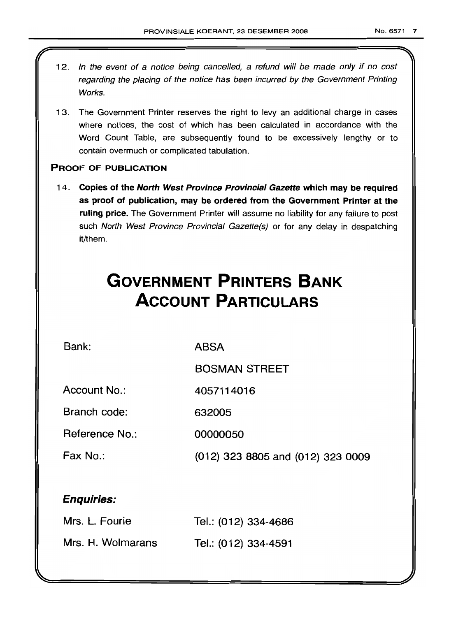- 12. In the event of a notice being cancelled, a refund will be made only if no cost regarding the placing of the notice has been incurred by the Government Printing Works.
- 13. The Government Printer reserves the right to levy an additional charge in cases where notices, the cost of which has been calculated in accordance with the Word Count Table, are subsequently found to be excessively lengthy or to contain overmuch or complicated tabulation.

### PROOF OF PUBLICATION

14. Copies of the North West Province Provincial Gazette which may be required as proof of publication, may be ordered from the Government Printer at the ruling price. The Government Printer will assume no liability for any failure to post such North West Province Provincial Gazette(s) or for any delay in despatching it/them.

# **GOVERNMENT PRINTERS BANK ACCOUNT PARTICULARS**

Bank:

ABSA

BOSMAN STREET

Account No.: 4057114016

Branch code: 632005

Reference No.: 00000050

Fax No.:

(012) 323 8805 and (012) 323 0009

### Enquiries:

| Mrs. L. Fourie    | Tel.: (012) 334-4686 |
|-------------------|----------------------|
| Mrs. H. Wolmarans | Tel.: (012) 334-4591 |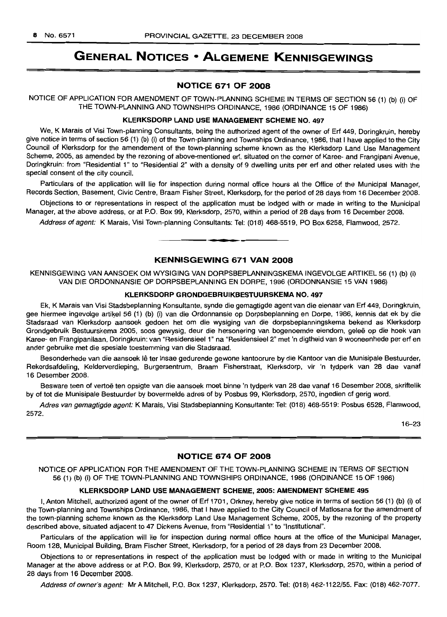## GENERAL NOTICES • ALGEMENE KENNISGEWINGS

#### NOTICE 671 OF 2008

NOTICE OF APPLICATION FOR AMENDMENT OF TOWN-PLANNING SCHEME IN TERMS OF SECTION 56 (1) (b) (i) OF THE TOWN-PLANNING AND TOWNSHIPS ORDINANCE, 1986 (ORDINANCE 15 OF 1986)

#### KLERKSDORP LAND USE MANAGEMENT SCHEME NO. 497

We, K Marais of Visi Town-planning Consultants, being the authorized agent of the owner of Ert 449, Doringkruin, hereby give notice in terms of section 56 (1) (b) (i) of the Town-planning and Townships Ordinance, 1986, that I have applied to the City Council of Klerksdorp for the amendement of the town-planning scheme known as the Klerksdorp Land Use Management Scheme, 2005, as amended by the rezoning of above-mentioned ert, situated on the corner of Karee- and Frangipani Avenue, Doringkruin: from "Residential 1" to "Residential 2" with a density of 9 dwelling units per ert and other related uses with the special consent of the city council.

Particulars of the application will lie for inspection during normal office hours at the Office of the Municipal Manager, Records Section, Basement, Civic Centre, Braam Fisher Street, Klerksdorp, for the period of 28 days from 16 December 2008.

Objections to or representations in respect of the application must be lodged with or made in writing to the Municipal Manager, at the above address, or at P.O. Box 99, Klerksdorp, 2570, within a period of 28 days from 16 December 2008.

Address of agent: K Marais, Visi Town-planning Consultants: Tel: (018) 468-5519, PO Box 6258, Flamwood, 2572.

#### KENNISGEWING 671 VAN 2008

**- .**

KENNISGEWING VAN AANSOEK OM WYSIGING VAN DORPSBEPLANNINGSKEMA INGEVOLGE ARTIKEL 56 (1) (b) (i) VAN DIE ORDONNANSIE OP DORPSBEPLANNING EN DORPE, 1986 (ORDONNANSIE 15 VAN 1986)

#### KLERKSDORP GRONDGEBRUIKBESTUURSKEMA NO. 497

Ek, K Marais van Visi Stadsbeplanning Konsultante, synde die gemagtigde agent van die eienaar van Ert 449, Doringkruin, gee hiermee ingevolge artikel 56 (1) (b) (i) van die Ordonnansie op Dorpsbeplanning en Dorpe, 1986, kennis dat ek by die Stadsraad van Klerksdorp aansoek gedoen het om die wysiging van die dorpsbeplanningskema bekend as Klerksdorp Grondgebruik Bestuurskema 2005, soos gewysig, deur die hersonering van bogenoemde eiendom, gelee op die hoek van Karee- en Frangipanilaan, Doringkruin: van "ResidensieeI1" na "Residensieel 2" met 'n digtheid van 9 wooneenhede per ert en ander gebruike met die spesiale toestemming van die Stadsraad.

Besonderhede van die aansoek lê ter insae gedurende gewone kantoorure by die Kantoor van die Munisipale Bestuurder, Rekordsafdeling, Kelderverdieping, Burgersentrum, Braam Fisherstraat, Klerksdorp, vir 'n tydperk van 28 dae vanaf 16 Desember 2008.

Besware teen of vertoë ten opsigte van die aansoek moet binne 'n tydperk van 28 dae vanaf 16 Desember 2008, skriftelik by of tot die Munisipale Bestuurder by bovermelde adres of by Posbus 99, Klerksdorp, 2570, ingedien of gerig word.

Adres van gemagtigde agent: K Marais, Visi Stadsbeplanning Konsultante: Tel: (018) 468-5519: Posbus 6528, Flamwood, 2572.

16-23

### NOTICE 674 OF 2008

NOTICE OF APPLICATION FOR THE AMENDMENT OF THE TOWN-PLANNING SCHEME IN TERMS OF SECTION 56 (1) (b) (i) OF THE TOWN-PLANNING AND TOWNSHIPS ORDINANCE, 1986 (ORDINANCE 15 OF 1986)

#### KLERKSDORP LAND USE MANAGEMENT SCHEME, 2005: AMENDMENT SCHEME 495

I, Anton Mitchell, authorized agent of the owner of Ert 1701, Orkney, hereby give notice in terms of section 56 (1) (b) (i) of the Town-planning and Townships Ordinance, 1986, that I have applied to the City Council of Matlosana for the amendment of the town-planning scheme known as the Klerksdorp Land Use Management Scheme, 2005, by the rezoning of the property described above, situated adjacent to 47 Dickens Avenue, from "Residential 1" to "Institutional".

Particulars of the application will lie for inspection during normal office hours at the office of the Municipal Manager, Room 128, Municipal Building, Bram Fischer Street, Klerksdorp, for a period of 28 days from 23 December 2008.

Objections to or representations in respect of the application must be lodged with or made in writing to the Municipal Manager at the above address or at P.O. Box 99, Klerksdorp, 2570, or at P.O. Box 1237, Klerksdorp, 2570, within a period of 28 days from 16 December 2008.

Address of owner's agent: Mr A Mitchell, P.O. Box 1237, Klerksdorp, 2570. Tel: (018) 462-1122/55. Fax: (018) 462-7077.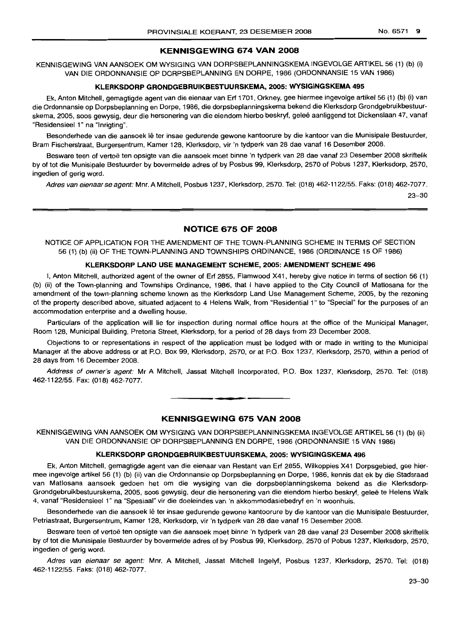#### **KENNISGEWING 674 VAN 2008**

KENNISGEWING VAN AANSOEK OM WYSIGING VAN DORPSBEPLANNINGSKEMA INGEVOLGE ARTIKEL 56 (1) (b) (i) VAN DIE ORDONNANSIE OP DORPSBEPLANNING EN DORPE, 1986 (ORDONNANSIE 15 VAN 1986)

#### **KLERKSDORP GRONDGEBRUIKBESTUURSKEMA, 2005: WYSIGINGSKEMA 495**

Ek, Anton Mitchell, gemagtigde agent van die eienaar van Erf 1701, Orkney, gee hiermee ingevolge artikel 56 (1) (b) (i) van die Ordonnansie op Dorpsbeplanning en Dorpe, 1986, die dorpsbeplanningskema bekend die Klerksdorp Grondgebruikbestuurskema, 2005, soos gewysig, deur die hersonering van die eiendom hierbo beskryf, geleë aanliggend tot Dickenslaan 47, vanaf "Residensieel 1" na "Inrigting".

Besonderhede van die aansoek lê ter insae gedurende gewone kantoorure by die kantoor van die Munisipale Bestuurder, Bram Fischerstraat, Burgersentrum, Kamer 128, Klerksdorp, vir 'n tydperk van 28 dae vanaf 16 Desember 2008.

Besware teen of vertoë ten opsigte van die aansoek moet binne 'n tydperk van 28 dae vanaf 23 Desember 2008 skriftelik by of tot die Munisipale Bestuurder by bovermelde adres of by Posbus 99, Klerksdorp, 2570 of Pobus1237, Klerksdorp, 2570, ingedien of gerig word.

Adres van eienaar se agent: Mm. A Mitchell, Posbus 1237, Klerksdorp, 2570. Tel: (018) 462-1122/55. Faks: (018) 462-7077.

23-30

#### **NOTICE 675 OF 2008**

NOTICE OF APPLICATION FOR THE AMENDMENT OF THE TOWN-PLANNING SCHEME IN TERMS OF SECTION 56 (1) (b) (ii) OF THE TOWN-PLANNING AND TOWNSHIPS ORDINANCE, 1986 (ORDINANCE 15 OF 1986)

#### **KLERKSDORP LAND USE MANAGEMENT SCHEME, 2005: AMENDMENT SCHEME 496**

I, Anton Mitchell, authorized agent of the owner of Erf 2855, Flamwood X41, hereby give notice in terms of section 56 (1) (b) (ii) of the Town-planning and Townships Ordinance, 1986, that I have applied to the City Council of Matlosana for the amendment of the town-planning scheme known as the Klerksdorp Land Use Management Scheme, 2005, by the rezoning of the property described above, situated adjacent to 4 Helens Walk, from "Residential 1" to "Special" for the purposes of an accommodation enterprise and a dwelling house.

Particulars of the application will lie for inspection during normal office hours at the office of the Municipal Manager, Room 128, Municipal Building, Pretoria Street, Klerksdorp, for a period of 28 days from 23 December 2008.

Objections to or representations in respect of the application must be lodged with or made in writing to the Municipal Manager at the above address or at P.O. Box 99, Klerksdorp, 2570, or at P.O. Box 1237, Klerksdorp, 2570, within a period of 28 days from 16 December 2008.

Address of owner's agent: Mr A Mitchell, Jassat Mitchell Incorporated, P.O. Box 1237, Klerksdorp, 2570. Tel: (018) 462-1122/55. Fax: (018) 462-7077.

**--**

#### **KENNISGEWING 675 VAN 2008**

KENNISGEWING VAN AANSOEK OM WYSIGING VAN DORPSBEPLANNINGSKEMA INGEVOLGE ARTIKEL 56 (1) (b) (ii) VAN DIE ORDONNANSIE OP DORPSBEPLANNING EN DORPE, 1986 (ORDONNANSIE "15 VAN 1986)

#### **KLERKSDORP GRONDGEBRUIKBESTUURSKEMA, 2005: WYSIGINGSKEMA 496**

Ek, Anton Mitchell, gemagtigde agent van die eienaar van Restant van Erf 2855, Wilkoppies X41 Dorpsgebied, gee hiermee ingevolge artikel 56 (1) (b) (ii) van die Ordonnansie op Dorpsbeplanning en Dorpe, 1986, kennis dat ek by die Stadsraad van Matlosana aansoek gedoen het om die wysiging van die dorpsbeplanningskema bekend as die Klerksdorp-Grondgebruikbestuurskema, 2005, soos gewysig, deur die hersonering van die eiendom hierbo beskryf, gelee te Helens Walk 4, vanaf "Residensieel 1" na "Spesiaal" vir die doeleindes van 'n akkommodasiebedryf en 'n woonhuis.

Besonderhede van die aansoek lê ter insae gedurende gewone kantoorure by die kantoor van die Munisipale Bestuurder, Petriastraat, Burgersentrum, Kamer 128, Klerksdorp, vir 'n tydperk van 28 dae vanaf 16 Desember 2008.

Besware teen of vertoë ten opsigte van die aansoek moet binne 'n tydperk van 28 dae vanaf 23 Desember 2008 skriftelik by of tot die Munisipale Bestuurder by bovermelde adres of by Posbus 99, Klerksdorp, 2570 of Pobus 1237, Klerksdorp, 2570, ingedien of gerig word.

Adres van eienaar se agent: Mnr. A Mitchell, Jassat Mitchell Ingelyf, Posbus 1237, Klerksdorp, 2570. Tel: (018) 462-1122/55. Faks: (018) 462-7077.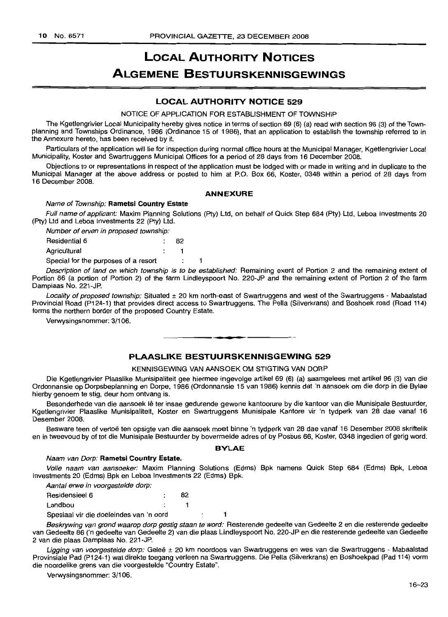## **LOCAL AUTHORITY NOTICES ALGEMENE BESTUURSKENNISGEWINGS**

#### **LOCAL AUTHORITY NOTICE 529**

NOTICE OF APPLICATION FOR ESTABLISHMENT OF TOWNSHIP

The Kgetlengrivier Local Municipality hereby gives notice in terms of section 69 (6) (a) read with section 96 (3) of the Townplanning and Townships Ordinance, 1986 (Ordinance 15 of 1986), that an application to establish the township referred to in the Annexure hereto, has been received by it.

Particulars of the application will lie for inspection during normal office hours at the Municipal Manager, Kgetlengrivier Local Municipality, Koster and Swartruggens Municipal Offices far a period of 28 days from 16 December 2008.

Objections to or representations in respect of the application must be lodged with or made in writing and in duplicate to the Municipal Manager at the above address or posted to him at P.O. Box 66, Koster, 0348 within a period of 28 days from 16 December 2008.

#### **ANNEXURE**

#### Name of Township: **Rametsi Country Estate**

Full name of applicant: Maxim Planning Solutions (Pty) Ltd, on behalf of Quick Step 684 (Pty) Ltd, Leboa Investments 20 (Pty) Ltd and Leboa Investments 22 (Pty) Ltd.

| Number of erven in proposed township: |    |  |
|---------------------------------------|----|--|
| <b>Residential 6</b>                  | 82 |  |
| Agricultural                          |    |  |
| Special for the purposes of a resort  |    |  |

Description of land on which township is to be established: Remaining exent of Portion 2 and the remaining extent of Portion 86 (a portion of Portion 2) of the farm Undleyspoort No. 220-JP and the remaining extent of Portion 2 of the farm Damplaas No. 221-JP.

Locality of proposed township: Situated ± 20 km north-east of Swartruggens and west of the Swartruggens - Mabaalstad Provincial Road (P124-1) that provides direct access to Swartruggens. The Pella (Silverkrans) and Boshoek road (Road 114) forms the northern border of the proposed Country Estate.

Verwysingsnommer: 3/106.

#### **PLAASLIKE BESTUURSKENNISGEWING 529**

**• •**

#### KENNISGEWING VAN AANSOEK OM STIGTING VAN DORP

Die Kgetlengrivier Plaaslike Munisipaliteit gee hiermee ingevolge artikel 69 (6) (a) saamgelees met artikel 96 (3) van die Ordonnansie op Dorpsbeplanning en Dorpe, 1986 (Ordonnansie 15 van 1986) kennis dat 'n aansoek om die dorp in die Bylae hierby genoem te stig, deur hom ontvang is.

Besonderhede van die aansoek lê ter insae gedurende gewone kantoorure by die kantoor van die Munisipale Bestuurder, Kgetlengrivier Plaaslike Munisipaliteit, Koster en Swartruggens Munisipale Kantore vir 'n tydperk van 28 dae vanaf 16 Desember 2008.

Besware teen of vertoë ten opsigte van die aansoek moet binne 'n tydperk van 28 dae vanaf 16 Desember 2008 skriftelik en in tweevoud by of tot die Munisipale Bestuurder by bovermelde adres of by Posbus 66, Koster, 0348 ingedien of gerig word.

#### **BVLAE**

#### Naam van Dorp: **Rametsi Country Estate.**

Volle naam van aansoeker: Maxim Planning Solutions (Edms) Bpk namens Quick Step 684 (Edms) Bpk, Leboa Investments 20 (Edms) Bpk en Leboa Investments 22 (Edms) Bpk.

Aantal erwe in voorgestelde dorp:

| Residensieel 6                          | 82 |  |
|-----------------------------------------|----|--|
| Landbou                                 |    |  |
| Spesiaal vir die doeleindes van 'n oord |    |  |

Beskrywing van grond waarop dorp gestig staan te word: Resterende gedeelte van Gedeelte 2 en die resterende gedeelte van Gedeelte 86 ('n gedeelte van Gedeelte 2) van die plaas Lindleyspoort No. 220-JP en die resterende gedeelte van Gedeelte 2 van die plaas Damplaas No. 221-JP.

Ligging van voorgestelde dorp: Geleë ± 20 km noordoos van Swartruggens en wes van die Swartruggens - Mabaalstad Provinsiale Pad (P124-1) wat direkte toegang verleen na Swartruggens. Die Pella (Silverkrans) en Boshoekpad (Pad 114) vorm die noordelike grens van die voorgestelde "Country Estate".

Verwysingsnommer: 3/106.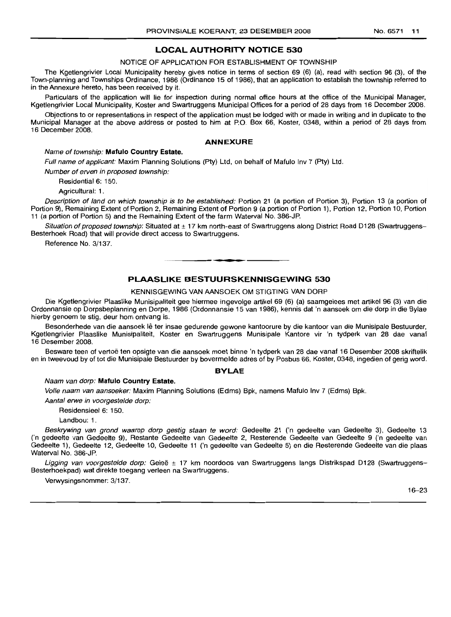#### LOCAL AUTHORITY NOTICE 530

NOTICE OF APPLICATION FOR ESTABLISHMENT OF TOWNSHIP

The Kgetlengrivier Local Municipality hereby gives notice in terms of section 69 (6) (a), read with section 96 (3), of the Town-planning and Townships Ordinance, 1986 (Ordinance 15 of 1986), that an application to establish the township referred to in the Annexure hereto, has been received by it.

Particulars of the application will lie for inspection during normal office hours at the office of the Municipal Manager, Kgetlengrivier Local Municipality, Koster and Swartruggens Municipal Offices for a period of 28 days from 16 December 2008.

Objections to or representations in respect of the application must be lodged with or made in writing and in duplicate to the Municipal Manager at the above address or posted to him at P.O. Box 66, Koster, 0348, within a period of 28 days from 16 December 2008.

#### ANNEXURE

#### Name of township: Mafulo Country Estate.

Full name of applicant: Maxim Planning Solutions (Pty) Ltd, on behalf of Mafulo Inv 7 (Pty) Ltd.

Number of erven in proposed township:

Residential 6: 150.

Agricultural: 1.

Description of land on which township is to be established: Portion 21 (a portion of Portion 3), Portion 13 (a portion of Portion 9), Remaining Extent of Portion 2, Remaining Extent of Portion 9 (a portion of Portion 1), Portion 12, Portion 10, Portion 11 (a portion of Portion 5) and the Remaining Extent of the farm Waterval No. 386-JP.

Situation of proposed township: Situated at ± 17 km north-east of Swartruggens along District Road D128 (Swartruggens-Besterhoek Road) that will provide direct access to Swartruggens.

Reference No. 3/137.

#### PLAASLIKE BESTUURSKENNISGEWING 530

**-**

#### KENNISGEWING VAN AANSOEK OM STIGTING VAN DORP

Die Kgetlengrivier Plaaslike Munisipaliteit gee hiermee ingevolge artikel 69 (6) (a) saamgelees met artikel 96 (3) van die Ordonnansie op Dorpsbeplanning en Dorpe, 1986 (Ordonnansie 15 van 1986), kennis dat 'n aansoek 0111 die dorp in die Bylae hierby genoem te stig, deur hom ontvang is.

Besonderhede van die aansoek lê ter insae gedurende gewone kantoorure by die kantoor van die Munisipale Bestuurder, Kgetlengrivier Plaaslike Munisipaliteit, Koster en Swartruggens Munisipale Kantore vir 'n tydperk van 28 dae vanaf 16 Desember 2008.

Besware teen of vertoe ten opsigte van die aansoek moet binne 'n tydperk van 28 dae vanaf 16 Desember 2008 skriftelik en in tweevoud by of tot die Munisipale Bestuurder by bovermelde adres of by Posbus 66, Koster, 0348, ingedien of gerig word.

#### **BYLAE**

#### Naam van dorp: Mafulo Country Estate.

Volle naam van aansoeker: Maxim Planning Solutions (Edms) Bpk, namens Mafulo Inv 7 (Edms) Bpk.

Aantal erwe in voorgestelde dorp:

Residensieel 6: 150.

Landbou: 1.

Beskrywing van grond waarop dorp gestig staan te word: Gedeelte 21 ('n gedeelte van Gedeelte 3), Gedeelte 13 ('n gedeelte van Gedeelte 9), Restante Gedeelte van Gedeelte 2, Resterende Gedeelte van Gedeelte 9 ('n gedeelte van Gedeelte 1), Gedeelte 12, Gedeelte 10, Gedeelte 11 ('n gedeelte van Gedeelte 5) en die Resterende Gedeelte van die plaas Waterval No. 386-JP.

Ligging van voorgestelde dorp: Geleë  $\pm$  17 km noordoos van Swartruggens langs Distrikspad D128 (Swartruggens-Besterhoekpad) wat direkte toegang verleen na Swartruggens.

Verwysingsnommer: 3/137.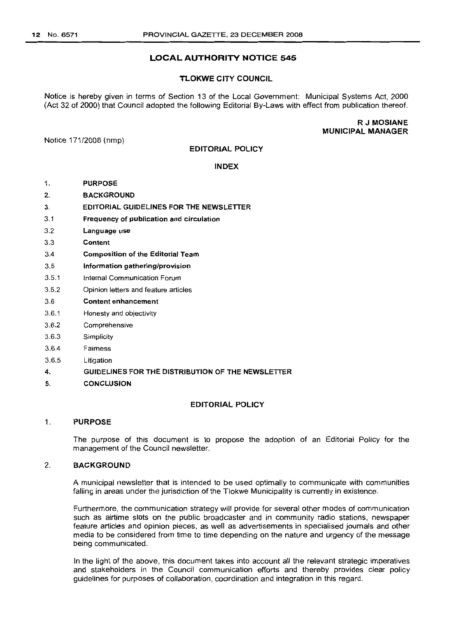### LOCAL AUTHORITY NOTICE 545

#### TLOKWE CITY COUNCIL

Notice is hereby given in terms of Section 13 of the Local Government: Municipal Systems Act, 2000 (Act 32 of 2000) that Council adopted the following Editorial By-Laws with effect from publication thereof.

> RJ MOSIANE MUNICIPAL MANAGER

Notice 171/2008 (nmp)

#### EDITORIAL POLICY

#### INDEX

- 1. PURPOSE
- $2.$ BACKGROUND
- 3. EDITORIAL GUIDELINES FOR THE NEWSLETTER
- 3.1 Frequency of publication and circulation
- 3.2 Language use
- 3.3 Content
- 3.4 Composition of the Editorial Team
- 3.5 Information gathering/provision
- 3.5.1 Internal Communication Forum
- 3.5.2 Opinion letters and feature articles
- 3.6 Content enhancement
- 3.6.1 Honesty and objectivity
- 3.6.2 Comprehensive
- 3.6.3 Simplicity
- 3.6.4 Fairness
- 3.6.5 Litigation
- 4. GUIDELINES FOR THE DISTRIBUTION OF THE NEWSLETTER
- 5. CONCLUSION

#### EDITORIAL POLICY

#### 1. PURPOSE

The purpose of this document is to propose the adoption of an Editorial Policy for the management of the Council newsletter.

#### 2. BACKGROUND

A municipal newsletter that is intended to be used optimally to communicate with communities falling in areas under the jurisdiction of the Tlokwe Municipality is currently in existence.

Furthermore, the communication strategy will provide for several other modes of communication such as airtime slots on the public broadcaster and in community radio stations, newspaper feature articles and opinion pieces, as well as advertisements in specialised journals and other media to be considered from time to time depending on the nature and urgency of the message being communicated.

In the light of the above, this document takes into account all the relevant strategic imperatives and stakeholders in the Council communication efforts and thereby provides clear policy guidelines for purposes of collaboration, coordination and integration in this regard.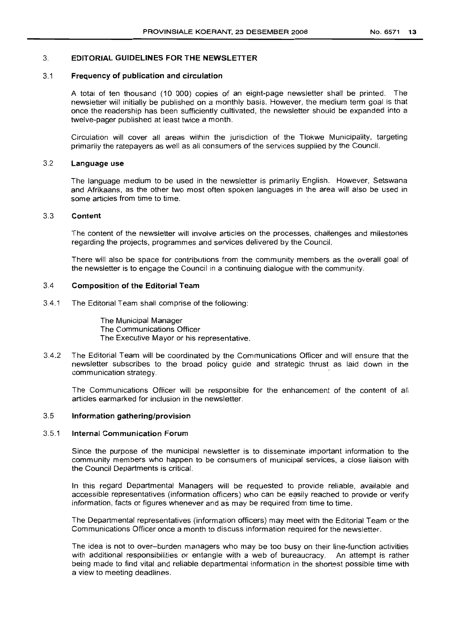#### 3. **EDITORIAL GUIDELINES FOR THE NEWSLETTER**

#### 3.1 **Frequency of publication and circulation**

A total of ten thousand (10 000) copies of an eight-page newsletter shall be printed. The newsletter will initially be published on a monthly basis. However, the medium term goal is that once the readership has been sufficiently cultivated, the newsletter should be expanded into a twelve-pager published at least twice a month.

Circulation will cover all areas within the jurisdiction of the Tlokwe Municipality, targeting primarily the ratepayers as well as all consumers of the services supplied by the Council.

#### 3.2 **Language use**

The language medium to be used in the newsletter is primarily English. However, Setswana and Afrikaans, as the other two most often spoken languages in the area will also be used in some articles from time to time.

#### 3.3 **Content**

The content of the newsletter will involve articles on the processes, challenges and milestones regarding the projects, programmes and services delivered by the Council.

There will also be space for contributions from the community members as the overall goal of the newsletter is to engage the Council in a continuing dialogue with the community.

#### 3.4 **Composition of the Editorial Team**

3.4.1 The Editorial Team shall comprise of the following:

The Municipal Manager The Communications Officer The Executive Mayor or his representative.

3.4.2 The Editorial Team will be coordinated by the Communications Officer and will ensure that the newsletter subscribes to the broad policy guide and strategic thrust as laid down in the communication strategy.

The Communications Officer will be responsible for the enhancement of the content of all articles earmarked for inclusion in the newsletter.

#### 3.5 **Information gathering/provision**

#### 3.5.1 **Internal Communication Forum**

Since the purpose of the municipal newsletter is to disseminate important information to the community members who happen to be consumers of municipal services, a close liaison with the Council Departments is critical.

In this regard Departmental Managers will be requested to provide reliable, available and accessible representatives (information officers) who can be easily reached to provide or verify information, facts or figures whenever and as may be required from time to time.

The Departmental representatives (information officers) may meet with the Editorial Team or the Communications Officer once a month to discuss information required for the newsletter.

The idea is not to over-burden managers who may be too busy on their line-function activities with additional responsibilities or entangle with a web of bureaucracy. An attempt is rather being made to find vital and reliable departmental information in the shortest possible time with a view to meeting deadlines.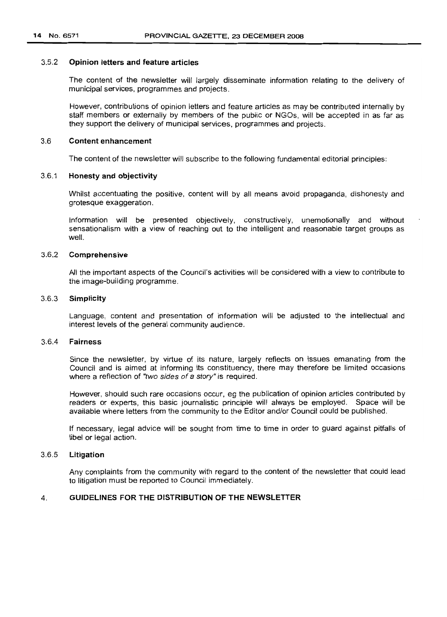#### 3.5.2 **Opinion letters and feature articles**

The content of the newsletter will largely disseminate information relating to the delivery of municipal services, programmes and projects.

However, contributions of opinion letters and feature articles as may be contributed internally by staff members or externally by members of the public or NGOs, will be accepted in as far as they support the delivery of municipal services, programmes and projects.

#### 3.6 **Content enhancement**

The content of the newsletter will subscribe to the following fundamental editorial principles:

#### 3.6.1 **Honesty and objectivity**

Whilst accentuating the positive, content will by all means avoid propaganda, dishonesty and grotesque exaggeration.

Information will be presented objectively, constructively, unemotionally and without sensationalism with a view of reaching out to the intelligent and reasonable target groups as well.

#### 3.6.2 **Comprehensive**

All the important aspects of the Council's activities will be considered with a view to contribute to the image-building programme.

#### 3.6.3 **Simplicity**

Language, content and presentation of information will be adjusted to the intellectual and interest levels of the general community audience.

#### 3.6.4 **Fairness**

Since the newsletter, by virtue of its nature, largely reflects on issues emanating from the Council and is aimed at informing its constituency, there may therefore be limited occasions where a reflection of "two sides of a story" is required.

However, should such rare occasions occur, eg the publication of opinion articles contributed by readers or experts, this basic journalistic principle will always be employed. Space will be available where letters from the community to the Editor and/or Council could be published.

If necessary, legal advice will be sought from time to time in order to guard against pitfalls of libel or legal action.

#### 3.6.5 **Litigation**

Any complaints from the community with regard to the content of the newsletter that could lead to litigation must be reported to Council immediately.

#### 4. **GUIDELINES FOR THE DISTRIBUTION OF THE NEWSLETTER**